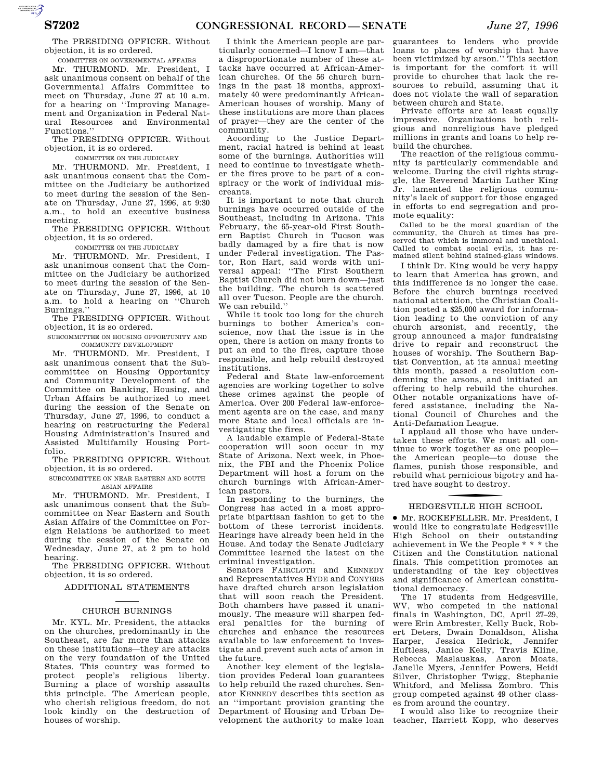The PRESIDING OFFICER. Without objection, it is so ordered.

COMMITTEE ON GOVERNMENTAL AFFAIRS Mr. THURMOND. Mr. President, I

ask unanimous consent on behalf of the Governmental Affairs Committee to meet on Thursday, June 27 at 10 a.m. for a hearing on ''Improving Management and Organization in Federal Natural Resources and Environmental Functions.''

The PRESIDING OFFICER. Without objection, it is so ordered.

COMMITTEE ON THE JUDICIARY

Mr. THURMOND. Mr. President, I ask unanimous consent that the Committee on the Judiciary be authorized to meet during the session of the Senate on Thursday, June 27, 1996, at 9:30 a.m., to hold an executive business meeting.

The PRESIDING OFFICER. Without objection, it is so ordered.

COMMITTEE ON THE JUDICIARY

Mr. THURMOND. Mr. President, I ask unanimous consent that the Committee on the Judiciary be authorized to meet during the session of the Senate on Thursday, June 27, 1996, at 10 a.m. to hold a hearing on ''Church Burnings.''

The PRESIDING OFFICER. Without objection, it is so ordered.

SUBCOMMITTEE ON HOUSING OPPORTUNITY AND COMMUNITY DEVELOPMENT

Mr. THURMOND. Mr. President, I ask unanimous consent that the Subcommittee on Housing Opportunity and Community Development of the Committee on Banking, Housing, and Urban Affairs be authorized to meet during the session of the Senate on Thursday, June 27, 1996, to conduct a hearing on restructuring the Federal Housing Administration's Insured and Assisted Multifamily Housing Portfolio.

The PRESIDING OFFICER. Without objection, it is so ordered.

SUBCOMMITTEE ON NEAR EASTERN AND SOUTH ASIAN AFFAIRS

Mr. THURMOND. Mr. President, I ask unanimous consent that the Subcommittee on Near Eastern and South Asian Affairs of the Committee on Foreign Relations be authorized to meet during the session of the Senate on Wednesday, June 27, at 2 pm to hold hearing.

The PRESIDING OFFICER. Without objection, it is so ordered.

#### ADDITIONAL STATEMENTS

#### CHURCH BURNINGS

Mr. KYL. Mr. President, the attacks on the churches, predominantly in the Southeast, are far more than attacks on these institutions—they are attacks on the very foundation of the United States. This country was formed to protect people's religious liberty. Burning a place of worship assaults this principle. The American people, who cherish religious freedom, do not look kindly on the destruction of houses of worship.

I think the American people are particularly concerned—I know I am—that a disproportionate number of these attacks have occurred at African-American churches. Of the 56 church burnings in the past 18 months, approximately 40 were predominantly African-American houses of worship. Many of these institutions are more than places of prayer—they are the center of the community.

According to the Justice Department, racial hatred is behind at least some of the burnings. Authorities will need to continue to investigate whether the fires prove to be part of a conspiracy or the work of individual miscreants.

It is important to note that church burnings have occurred outside of the Southeast, including in Arizona. This February, the 65-year-old First Southern Baptist Church in Tucson was badly damaged by a fire that is now under Federal investigation. The Pastor, Ron Hart, said words with universal appeal: ''The First Southern Baptist Church did not burn down—just the building. The church is scattered all over Tucson. People are the church. We can rebuild.''

While it took too long for the church burnings to bother America's conscience, now that the issue is in the open, there is action on many fronts to put an end to the fires, capture those responsible, and help rebuild destroyed institutions.

Federal and State law-enforcement agencies are working together to solve these crimes against the people of America. Over 200 Federal law-enforcement agents are on the case, and many more State and local officials are investigating the fires.

A laudable example of Federal-State cooperation will soon occur in my State of Arizona. Next week, in Phoenix, the FBI and the Phoenix Police Department will host a forum on the church burnings with African-American pastors.

In responding to the burnings, the Congress has acted in a most appropriate bipartisan fashion to get to the bottom of these terrorist incidents. Hearings have already been held in the House. And today the Senate Judiciary Committee learned the latest on the criminal investigation.

Senators FAIRCLOTH and KENNEDY and Representatives HYDE and CONYERS have drafted church arson legislation that will soon reach the President. Both chambers have passed it unanimously. The measure will sharpen federal penalties for the burning of churches and enhance the resources available to law enforcement to investigate and prevent such acts of arson in the future.

Another key element of the legislation provides Federal loan guarantees to help rebuild the razed churches. Senator KENNEDY describes this section as an ''important provision granting the Department of Housing and Urban Development the authority to make loan

guarantees to lenders who provide loans to places of worship that have been victimized by arson.'' This section is important for the comfort it will provide to churches that lack the resources to rebuild, assuming that it does not violate the wall of separation between church and State.

Private efforts are at least equally impressive. Organizations both religious and nonreligious have pledged millions in grants and loans to help rebuild the churches.

The reaction of the religious community is particularly commendable and welcome. During the civil rights struggle, the Reverend Martin Luther King Jr. lamented the religious community's lack of support for those engaged in efforts to end segregation and promote equality:

Called to be the moral guardian of the community, the Church at times has preserved that which is immoral and unethical. Called to combat social evils, it has remained silent behind stained-glass windows.

I think Dr. King would be very happy to learn that America has grown, and this indifference is no longer the case. Before the church burnings received national attention, the Christian Coalition posted a \$25,000 award for information leading to the conviction of any church arsonist, and recently, the group announced a major fundraising drive to repair and reconstruct the houses of worship. The Southern Baptist Convention, at its annual meeting this month, passed a resolution condemning the arsons, and initiated an offering to help rebuild the churches. Other notable organizations have offered assistance, including the National Council of Churches and the Anti-Defamation League.

I applaud all those who have undertaken these efforts. We must all continue to work together as one people the American people—to douse the flames, punish those responsible, and rebuild what pernicious bigotry and hatred have sought to destroy.

# f HEDGESVILLE HIGH SCHOOL

∑ Mr. ROCKEFELLER. Mr. President, I would like to congratulate Hedgesville High School on their outstanding achievement in We the People \* \* \* the Citizen and the Constitution national finals. This competition promotes an understanding of the key objectives and significance of American constitutional democracy.

The 17 students from Hedgesville, WV, who competed in the national finals in Washington, DC, April 27–29, were Erin Ambrester, Kelly Buck, Robert Deters, Dwain Donaldson, Alisha Harper, Jessica Hedrick, Jennifer Huftless, Janice Kelly, Travis Kline, Rebecca Maslauskas, Aaron Moats, Janelle Myers, Jennifer Powers, Heidi Silver, Christopher Twigg, Stephanie Whitford, and Melissa Zombro. This group competed against 49 other classes from around the country.

I would also like to recognize their teacher, Harriett Kopp, who deserves

AUTORITICATED